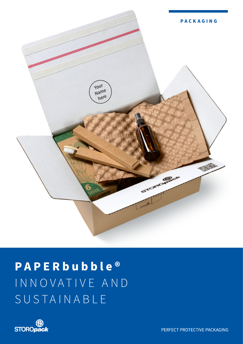

# **PAPER bubble®** INNOVATIVE AND SUSTAINABLE